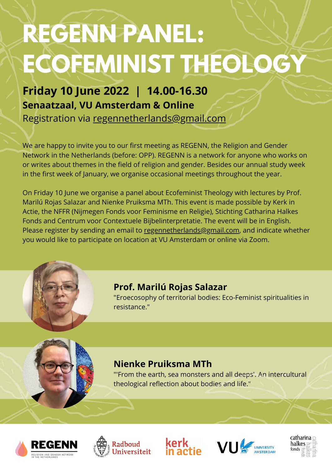# **REGENN PANEL: ECOFEMINIST THEOLOGY**

We are happy to invite you to our first meeting as REGENN, the Religion and Gender Network in the Netherlands (before: OPP). REGENN is a network for anyone who works on or writes about themes in the field of religion and gender. Besides our annual study week in the first week of January, we organise occasional meetings throughout the year.

On Friday 10 June we organise a panel about Ecofeminist Theology with lectures by Prof. Marilú Rojas Salazar and Nienke Pruiksma MTh. This event is made possible by Kerk in Actie, the NFFR (Nijmegen Fonds voor Feminisme en Religie), Stichting Catharina Halkes Fonds and Centrum voor Contextuele Bijbelinterpretatie. The event will be in English. Please register by sending an email to [regennetherlands@gmail.com,](mailto:regennetherlands@gmail.com) and indicate whether you would like to participate on location at VU Amsterdam or online via Zoom.



**Friday 10 June 2022 | 14.00-16.30 Senaatzaal, VU Amsterdam & Online** Registration via regennetherlands@gmail.com

## **Prof. Marilú Rojas Salazar**

"Eroecosophy of territorial bodies: Eco-Feminist spiritualities in resistance."

## **Nienke Pruiksma MTh**

"'From the earth, sea monsters and all deeps'. An intercultural theological reflection about bodies and life."